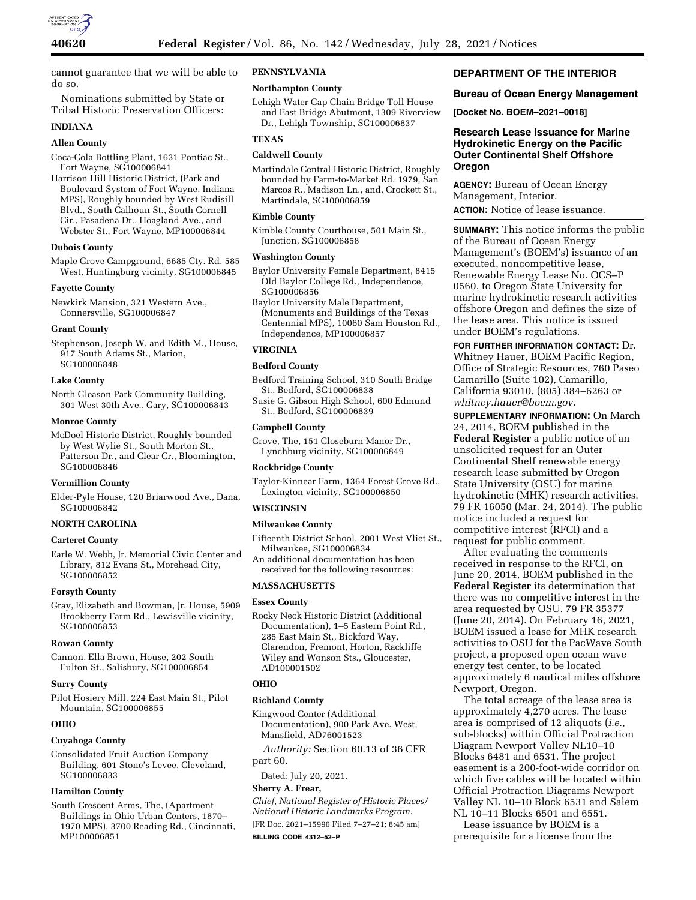

cannot guarantee that we will be able to do so.

Nominations submitted by State or Tribal Historic Preservation Officers:

# **INDIANA**

# **Allen County**

Coca-Cola Bottling Plant, 1631 Pontiac St., Fort Wayne, SG100006841

Harrison Hill Historic District, (Park and Boulevard System of Fort Wayne, Indiana MPS), Roughly bounded by West Rudisill Blvd., South Calhoun St., South Cornell Cir., Pasadena Dr., Hoagland Ave., and Webster St., Fort Wayne, MP100006844

### **Dubois County**

Maple Grove Campground, 6685 Cty. Rd. 585 West, Huntingburg vicinity, SG100006845

### **Fayette County**

Newkirk Mansion, 321 Western Ave., Connersville, SG100006847

### **Grant County**

Stephenson, Joseph W. and Edith M., House, 917 South Adams St., Marion, SG100006848

### **Lake County**

North Gleason Park Community Building, 301 West 30th Ave., Gary, SG100006843

#### **Monroe County**

McDoel Historic District, Roughly bounded by West Wylie St., South Morton St., Patterson Dr., and Clear Cr., Bloomington, SG100006846

#### **Vermillion County**

Elder-Pyle House, 120 Briarwood Ave., Dana, SG100006842

## **NORTH CAROLINA**

### **Carteret County**

Earle W. Webb, Jr. Memorial Civic Center and Library, 812 Evans St., Morehead City, SG100006852

### **Forsyth County**

Gray, Elizabeth and Bowman, Jr. House, 5909 Brookberry Farm Rd., Lewisville vicinity, SG100006853

#### **Rowan County**

Cannon, Ella Brown, House, 202 South Fulton St., Salisbury, SG100006854

### **Surry County**

Pilot Hosiery Mill, 224 East Main St., Pilot Mountain, SG100006855

## **OHIO**

#### **Cuyahoga County**

Consolidated Fruit Auction Company Building, 601 Stone's Levee, Cleveland, SG100006833

# **Hamilton County**

South Crescent Arms, The, (Apartment Buildings in Ohio Urban Centers, 1870– 1970 MPS), 3700 Reading Rd., Cincinnati, MP100006851

# **PENNSYLVANIA**

#### **Northampton County**

Lehigh Water Gap Chain Bridge Toll House and East Bridge Abutment, 1309 Riverview Dr., Lehigh Township, SG100006837

## **TEXAS**

# **Caldwell County**

Martindale Central Historic District, Roughly bounded by Farm-to-Market Rd. 1979, San Marcos R., Madison Ln., and, Crockett St., Martindale, SG100006859

# **Kimble County**

Kimble County Courthouse, 501 Main St., Junction, SG100006858

#### **Washington County**

Baylor University Female Department, 8415 Old Baylor College Rd., Independence, SG100006856

Baylor University Male Department, (Monuments and Buildings of the Texas Centennial MPS), 10060 Sam Houston Rd., Independence, MP100006857

## **VIRGINIA**

# **Bedford County**

Bedford Training School, 310 South Bridge St., Bedford, SG100006838

Susie G. Gibson High School, 600 Edmund St., Bedford, SG100006839

### **Campbell County**

Grove, The, 151 Closeburn Manor Dr., Lynchburg vicinity, SG100006849

## **Rockbridge County**

Taylor-Kinnear Farm, 1364 Forest Grove Rd., Lexington vicinity, SG100006850

#### **WISCONSIN**

# **Milwaukee County**

Fifteenth District School, 2001 West Vliet St., Milwaukee, SG100006834

An additional documentation has been received for the following resources:

## **MASSACHUSETTS**

### **Essex County**

Rocky Neck Historic District (Additional Documentation), 1–5 Eastern Point Rd., 285 East Main St., Bickford Way, Clarendon, Fremont, Horton, Rackliffe Wiley and Wonson Sts., Gloucester, AD100001502

#### **OHIO**

# **Richland County**

Kingwood Center (Additional Documentation), 900 Park Ave. West, Mansfield, AD76001523

*Authority:* Section 60.13 of 36 CFR part 60.

Dated: July 20, 2021.

### **Sherry A. Frear,**

*Chief, National Register of Historic Places/ National Historic Landmarks Program.*  [FR Doc. 2021–15996 Filed 7–27–21; 8:45 am] **BILLING CODE 4312–52–P** 

# **DEPARTMENT OF THE INTERIOR**

# **Bureau of Ocean Energy Management**

**[Docket No. BOEM–2021–0018]** 

# **Research Lease Issuance for Marine Hydrokinetic Energy on the Pacific Outer Continental Shelf Offshore Oregon**

**AGENCY:** Bureau of Ocean Energy Management, Interior.

**ACTION:** Notice of lease issuance.

**SUMMARY:** This notice informs the public of the Bureau of Ocean Energy Management's (BOEM's) issuance of an executed, noncompetitive lease, Renewable Energy Lease No. OCS–P 0560, to Oregon State University for marine hydrokinetic research activities offshore Oregon and defines the size of the lease area. This notice is issued under BOEM's regulations.

**FOR FURTHER INFORMATION CONTACT:** Dr. Whitney Hauer, BOEM Pacific Region, Office of Strategic Resources, 760 Paseo Camarillo (Suite 102), Camarillo, California 93010, (805) 384–6263 or *[whitney.hauer@boem.gov](mailto:whitney.hauer@boem.gov)*.

**SUPPLEMENTARY INFORMATION:** On March 24, 2014, BOEM published in the **Federal Register** a public notice of an unsolicited request for an Outer Continental Shelf renewable energy research lease submitted by Oregon State University (OSU) for marine hydrokinetic (MHK) research activities. 79 FR 16050 (Mar. 24, 2014). The public notice included a request for competitive interest (RFCI) and a request for public comment.

After evaluating the comments received in response to the RFCI, on June 20, 2014, BOEM published in the **Federal Register** its determination that there was no competitive interest in the area requested by OSU. 79 FR 35377 (June 20, 2014). On February 16, 2021, BOEM issued a lease for MHK research activities to OSU for the PacWave South project, a proposed open ocean wave energy test center, to be located approximately 6 nautical miles offshore Newport, Oregon.

The total acreage of the lease area is approximately 4,270 acres. The lease area is comprised of 12 aliquots (*i.e.,*  sub-blocks) within Official Protraction Diagram Newport Valley NL10–10 Blocks 6481 and 6531. The project easement is a 200-foot-wide corridor on which five cables will be located within Official Protraction Diagrams Newport Valley NL 10–10 Block 6531 and Salem NL 10–11 Blocks 6501 and 6551.

Lease issuance by BOEM is a prerequisite for a license from the